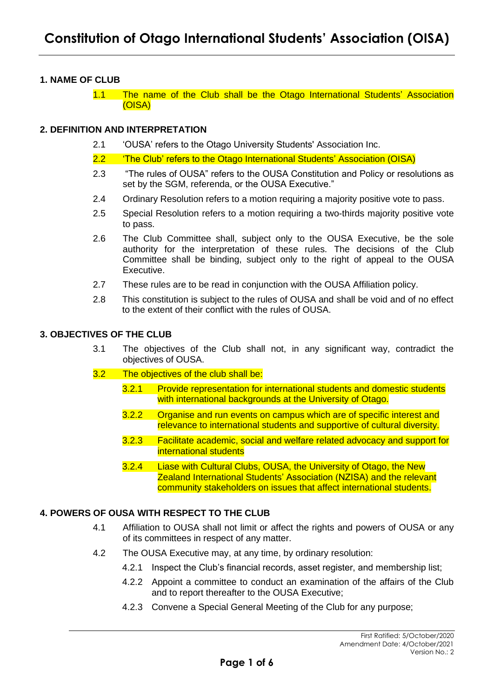## **1. NAME OF CLUB**

1.1 The name of the Club shall be the Otago International Students' Association (OISA)

### **2. DEFINITION AND INTERPRETATION**

- 2.1 'OUSA' refers to the Otago University Students' Association Inc.
- 2.2 'The Club' refers to the Otago International Students' Association (OISA)
- 2.3 "The rules of OUSA" refers to the OUSA Constitution and Policy or resolutions as set by the SGM, referenda, or the OUSA Executive."
- 2.4 Ordinary Resolution refers to a motion requiring a majority positive vote to pass.
- 2.5 Special Resolution refers to a motion requiring a two-thirds majority positive vote to pass.
- 2.6 The Club Committee shall, subject only to the OUSA Executive, be the sole authority for the interpretation of these rules. The decisions of the Club Committee shall be binding, subject only to the right of appeal to the OUSA Executive.
- 2.7 These rules are to be read in conjunction with the OUSA Affiliation policy.
- 2.8 This constitution is subject to the rules of OUSA and shall be void and of no effect to the extent of their conflict with the rules of OUSA.

### **3. OBJECTIVES OF THE CLUB**

- 3.1 The objectives of the Club shall not, in any significant way, contradict the objectives of OUSA.
- 3.2 The objectives of the club shall be:
	- 3.2.1 Provide representation for international students and domestic students with international backgrounds at the University of Otago.
	- 3.2.2 Organise and run events on campus which are of specific interest and relevance to international students and supportive of cultural diversity.
	- 3.2.3 Facilitate academic, social and welfare related advocacy and support for international students
	- 3.2.4 Liase with Cultural Clubs, OUSA, the University of Otago, the New Zealand International Students' Association (NZISA) and the relevant community stakeholders on issues that affect international students.

## **4. POWERS OF OUSA WITH RESPECT TO THE CLUB**

- 4.1 Affiliation to OUSA shall not limit or affect the rights and powers of OUSA or any of its committees in respect of any matter.
- 4.2 The OUSA Executive may, at any time, by ordinary resolution:
	- 4.2.1 Inspect the Club's financial records, asset register, and membership list;
	- 4.2.2 Appoint a committee to conduct an examination of the affairs of the Club and to report thereafter to the OUSA Executive;
	- 4.2.3 Convene a Special General Meeting of the Club for any purpose;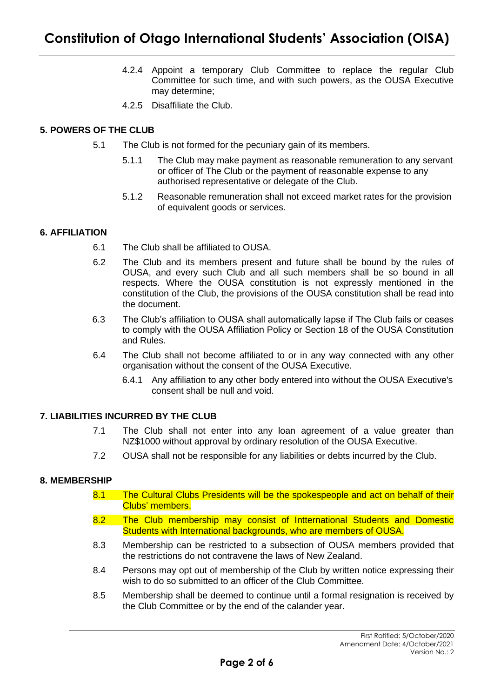- 4.2.4 Appoint a temporary Club Committee to replace the regular Club Committee for such time, and with such powers, as the OUSA Executive may determine;
- 4.2.5 Disaffiliate the Club.

# **5. POWERS OF THE CLUB**

- 5.1 The Club is not formed for the pecuniary gain of its members.
	- 5.1.1 The Club may make payment as reasonable remuneration to any servant or officer of The Club or the payment of reasonable expense to any authorised representative or delegate of the Club.
	- 5.1.2 Reasonable remuneration shall not exceed market rates for the provision of equivalent goods or services.

## **6. AFFILIATION**

- 6.1 The Club shall be affiliated to OUSA.
- 6.2 The Club and its members present and future shall be bound by the rules of OUSA, and every such Club and all such members shall be so bound in all respects. Where the OUSA constitution is not expressly mentioned in the constitution of the Club, the provisions of the OUSA constitution shall be read into the document.
- 6.3 The Club's affiliation to OUSA shall automatically lapse if The Club fails or ceases to comply with the OUSA Affiliation Policy or Section 18 of the OUSA Constitution and Rules.
- 6.4 The Club shall not become affiliated to or in any way connected with any other organisation without the consent of the OUSA Executive.
	- 6.4.1 Any affiliation to any other body entered into without the OUSA Executive's consent shall be null and void.

## **7. LIABILITIES INCURRED BY THE CLUB**

- 7.1 The Club shall not enter into any loan agreement of a value greater than NZ\$1000 without approval by ordinary resolution of the OUSA Executive.
- 7.2 OUSA shall not be responsible for any liabilities or debts incurred by the Club.

### **8. MEMBERSHIP**

- 8.1 The Cultural Clubs Presidents will be the spokespeople and act on behalf of their Clubs' members.
- 8.2 The Club membership may consist of Intternational Students and Domestic Students with International backgrounds, who are members of OUSA.
- 8.3 Membership can be restricted to a subsection of OUSA members provided that the restrictions do not contravene the laws of New Zealand.
- 8.4 Persons may opt out of membership of the Club by written notice expressing their wish to do so submitted to an officer of the Club Committee.
- 8.5 Membership shall be deemed to continue until a formal resignation is received by the Club Committee or by the end of the calander year.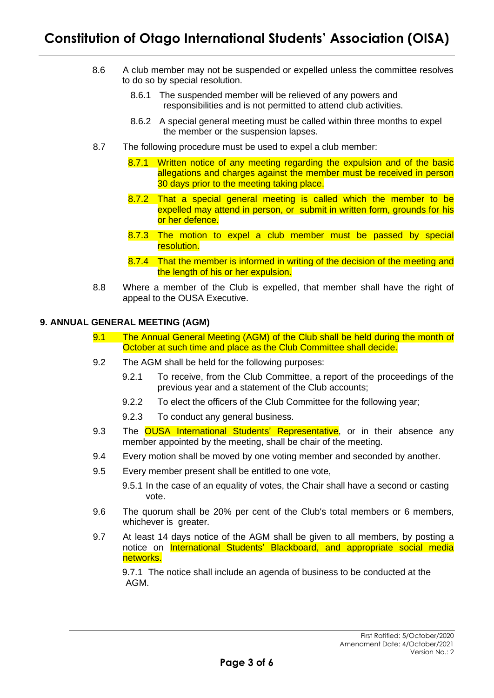- 8.6 A club member may not be suspended or expelled unless the committee resolves to do so by special resolution.
	- 8.6.1 The suspended member will be relieved of any powers and responsibilities and is not permitted to attend club activities.
	- 8.6.2 A special general meeting must be called within three months to expel the member or the suspension lapses.
- 8.7 The following procedure must be used to expel a club member:
	- 8.7.1 Written notice of any meeting regarding the expulsion and of the basic allegations and charges against the member must be received in person 30 days prior to the meeting taking place.
	- 8.7.2 That a special general meeting is called which the member to be expelled may attend in person, or submit in written form, grounds for his or her defence.
	- 8.7.3 The motion to expel a club member must be passed by special resolution.
	- 8.7.4 That the member is informed in writing of the decision of the meeting and the length of his or her expulsion.
- 8.8 Where a member of the Club is expelled, that member shall have the right of appeal to the OUSA Executive.

### **9. ANNUAL GENERAL MEETING (AGM)**

- 9.1 The Annual General Meeting (AGM) of the Club shall be held during the month of October at such time and place as the Club Committee shall decide.
- 9.2 The AGM shall be held for the following purposes:
	- 9.2.1 To receive, from the Club Committee, a report of the proceedings of the previous year and a statement of the Club accounts;
	- 9.2.2 To elect the officers of the Club Committee for the following year;
	- 9.2.3 To conduct any general business.
- 9.3 The OUSA International Students' Representative, or in their absence any member appointed by the meeting, shall be chair of the meeting.
- 9.4 Every motion shall be moved by one voting member and seconded by another.
- 9.5 Every member present shall be entitled to one vote,

9.5.1 In the case of an equality of votes, the Chair shall have a second or casting vote.

- 9.6 The quorum shall be 20% per cent of the Club's total members or 6 members, whichever is greater.
- 9.7 At least 14 days notice of the AGM shall be given to all members, by posting a notice on International Students' Blackboard, and appropriate social media networks.

9.7.1 The notice shall include an agenda of business to be conducted at the AGM.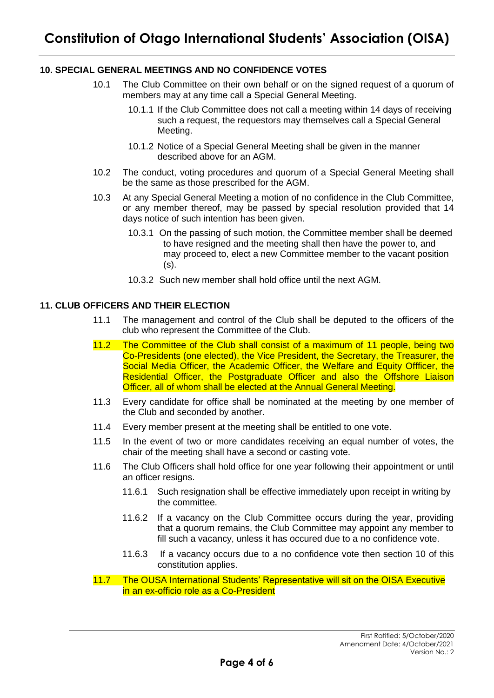## **10. SPECIAL GENERAL MEETINGS AND NO CONFIDENCE VOTES**

- 10.1 The Club Committee on their own behalf or on the signed request of a quorum of members may at any time call a Special General Meeting.
	- 10.1.1 If the Club Committee does not call a meeting within 14 days of receiving such a request, the requestors may themselves call a Special General Meeting.
	- 10.1.2 Notice of a Special General Meeting shall be given in the manner described above for an AGM.
- 10.2 The conduct, voting procedures and quorum of a Special General Meeting shall be the same as those prescribed for the AGM.
- 10.3 At any Special General Meeting a motion of no confidence in the Club Committee, or any member thereof, may be passed by special resolution provided that 14 days notice of such intention has been given.
	- 10.3.1 On the passing of such motion, the Committee member shall be deemed to have resigned and the meeting shall then have the power to, and may proceed to, elect a new Committee member to the vacant position (s).
	- 10.3.2 Such new member shall hold office until the next AGM.

### **11. CLUB OFFICERS AND THEIR ELECTION**

- 11.1 The management and control of the Club shall be deputed to the officers of the club who represent the Committee of the Club.
- 11.2 The Committee of the Club shall consist of a maximum of 11 people, being two Co-Presidents (one elected), the Vice President, the Secretary, the Treasurer, the Social Media Officer, the Academic Officer, the Welfare and Equity Offficer, the Residential Officer, the Postgraduate Officer and also the Offshore Liaison Officer, all of whom shall be elected at the Annual General Meeting.
- 11.3 Every candidate for office shall be nominated at the meeting by one member of the Club and seconded by another.
- 11.4 Every member present at the meeting shall be entitled to one vote.
- 11.5 In the event of two or more candidates receiving an equal number of votes, the chair of the meeting shall have a second or casting vote.
- 11.6 The Club Officers shall hold office for one year following their appointment or until an officer resigns.
	- 11.6.1 Such resignation shall be effective immediately upon receipt in writing by the committee.
	- 11.6.2 If a vacancy on the Club Committee occurs during the year, providing that a quorum remains, the Club Committee may appoint any member to fill such a vacancy, unless it has occured due to a no confidence vote.
	- 11.6.3 If a vacancy occurs due to a no confidence vote then section 10 of this constitution applies.
- 11.7 The OUSA International Students' Representative will sit on the OISA Executive in an ex-officio role as a Co-President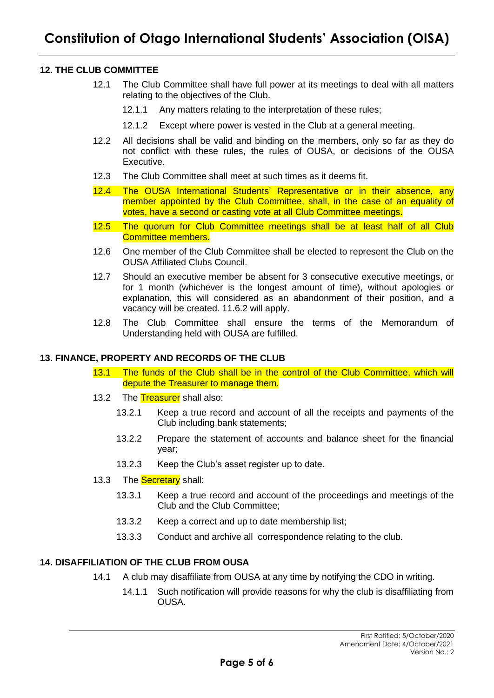# **12. THE CLUB COMMITTEE**

- 12.1 The Club Committee shall have full power at its meetings to deal with all matters relating to the objectives of the Club.
	- 12.1.1 Any matters relating to the interpretation of these rules;
	- 12.1.2 Except where power is vested in the Club at a general meeting.
- 12.2 All decisions shall be valid and binding on the members, only so far as they do not conflict with these rules, the rules of OUSA, or decisions of the OUSA Executive.
- 12.3 The Club Committee shall meet at such times as it deems fit.
- 12.4 The OUSA International Students' Representative or in their absence, any member appointed by the Club Committee, shall, in the case of an equality of votes, have a second or casting vote at all Club Committee meetings.
- 12.5 The quorum for Club Committee meetings shall be at least half of all Club Committee members.
- 12.6 One member of the Club Committee shall be elected to represent the Club on the OUSA Affiliated Clubs Council.
- 12.7 Should an executive member be absent for 3 consecutive executive meetings, or for 1 month (whichever is the longest amount of time), without apologies or explanation, this will considered as an abandonment of their position, and a vacancy will be created. 11.6.2 will apply.
- 12.8 The Club Committee shall ensure the terms of the Memorandum of Understanding held with OUSA are fulfilled.

### **13. FINANCE, PROPERTY AND RECORDS OF THE CLUB**

- 13.1 The funds of the Club shall be in the control of the Club Committee, which will depute the Treasurer to manage them.
- 13.2 The Treasurer shall also:
	- 13.2.1 Keep a true record and account of all the receipts and payments of the Club including bank statements;
	- 13.2.2 Prepare the statement of accounts and balance sheet for the financial year;
	- 13.2.3 Keep the Club's asset register up to date.
- 13.3 The **Secretary** shall:
	- 13.3.1 Keep a true record and account of the proceedings and meetings of the Club and the Club Committee;
	- 13.3.2 Keep a correct and up to date membership list;
	- 13.3.3 Conduct and archive all correspondence relating to the club.

### **14. DISAFFILIATION OF THE CLUB FROM OUSA**

- 14.1 A club may disaffiliate from OUSA at any time by notifying the CDO in writing.
	- 14.1.1 Such notification will provide reasons for why the club is disaffiliating from OUSA.